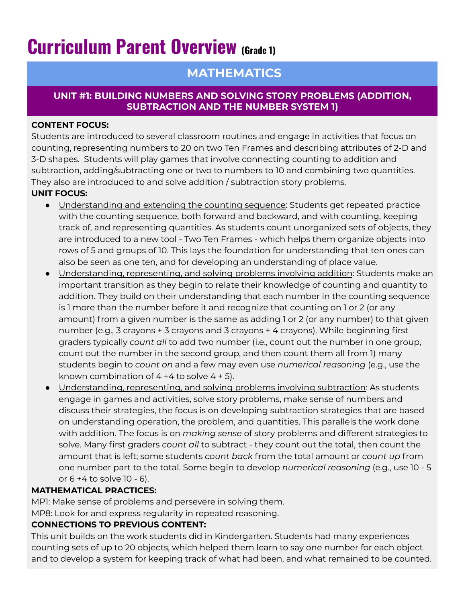# **Curriculum Parent Overview (Grade 1)**

# **MATHEMATICS**

#### **UNIT #1: BUILDING NUMBERS AND SOLVING STORY PROBLEMS (ADDITION, SUBTRACTION AND THE NUMBER SYSTEM 1)**

#### **CONTENT FOCUS:**

Students are introduced to several classroom routines and engage in activities that focus on counting, representing numbers to 20 on two Ten Frames and describing attributes of 2-D and 3-D shapes. Students will play games that involve connecting counting to addition and subtraction, adding/subtracting one or two to numbers to 10 and combining two quantities. They also are introduced to and solve addition / subtraction story problems.

# **UNIT FOCUS:**

- Understanding and extending the counting sequence: Students get repeated practice with the counting sequence, both forward and backward, and with counting, keeping track of, and representing quantities. As students count unorganized sets of objects, they are introduced to a new tool - Two Ten Frames - which helps them organize objects into rows of 5 and groups of 10. This lays the foundation for understanding that ten ones can also be seen as one ten, and for developing an understanding of place value.
- Understanding, representing, and solving problems involving addition: Students make an important transition as they begin to relate their knowledge of counting and quantity to addition. They build on their understanding that each number in the counting sequence is 1 more than the number before it and recognize that counting on 1 or 2 (or any amount) from a given number is the same as adding 1 or 2 (or any number) to that given number (e.g., 3 crayons + 3 crayons and 3 crayons + 4 crayons). While beginning first graders typically *count all* to add two number (i.e., count out the number in one group, count out the number in the second group, and then count them all from 1) many students begin to *count on* and a few may even use *numerical reasoning* (e.g., use the known combination of  $4 + 4$  to solve  $4 + 5$ ).
- Understanding, representing, and solving problems involving subtraction: As students engage in games and activities, solve story problems, make sense of numbers and discuss their strategies, the focus is on developing subtraction strategies that are based on understanding operation, the problem, and quantities. This parallels the work done with addition. The focus is on *making sense* of story problems and different strategies to solve. Many first graders *count all* to subtract - they count out the total, then count the amount that is left; some students *count back* from the total amount or *count up* from one number part to the total. Some begin to develop *numerical reasoning* (e.g., use 10 - 5 or 6 +4 to solve 10 - 6).

# **MATHEMATICAL PRACTICES:**

MP1: Make sense of problems and persevere in solving them.

MP8: Look for and express regularity in repeated reasoning.

# **CONNECTIONS TO PREVIOUS CONTENT:**

This unit builds on the work students did in Kindergarten. Students had many experiences counting sets of up to 20 objects, which helped them learn to say one number for each object and to develop a system for keeping track of what had been, and what remained to be counted.